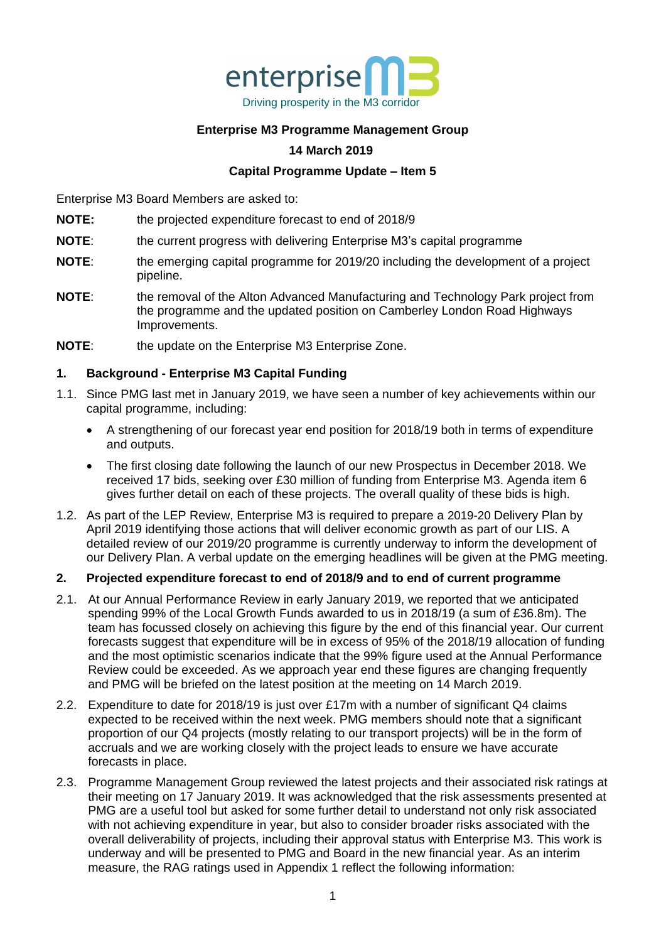

#### **Enterprise M3 Programme Management Group**

#### **14 March 2019**

#### **Capital Programme Update – Item 5**

Enterprise M3 Board Members are asked to:

- **NOTE:** the projected expenditure forecast to end of 2018/9
- **NOTE:** the current progress with delivering Enterprise M3's capital programme
- **NOTE:** the emerging capital programme for 2019/20 including the development of a project pipeline.
- **NOTE:** the removal of the Alton Advanced Manufacturing and Technology Park project from the programme and the updated position on Camberley London Road Highways Improvements.
- **NOTE:** the update on the Enterprise M3 Enterprise Zone.

#### **1. Background - Enterprise M3 Capital Funding**

- 1.1. Since PMG last met in January 2019, we have seen a number of key achievements within our capital programme, including:
	- A strengthening of our forecast year end position for 2018/19 both in terms of expenditure and outputs.
	- The first closing date following the launch of our new Prospectus in December 2018. We received 17 bids, seeking over £30 million of funding from Enterprise M3. Agenda item 6 gives further detail on each of these projects. The overall quality of these bids is high.
- 1.2. As part of the LEP Review, Enterprise M3 is required to prepare a 2019-20 Delivery Plan by April 2019 identifying those actions that will deliver economic growth as part of our LIS. A detailed review of our 2019/20 programme is currently underway to inform the development of our Delivery Plan. A verbal update on the emerging headlines will be given at the PMG meeting.

#### **2. Projected expenditure forecast to end of 2018/9 and to end of current programme**

- 2.1. At our Annual Performance Review in early January 2019, we reported that we anticipated spending 99% of the Local Growth Funds awarded to us in 2018/19 (a sum of £36.8m). The team has focussed closely on achieving this figure by the end of this financial year. Our current forecasts suggest that expenditure will be in excess of 95% of the 2018/19 allocation of funding and the most optimistic scenarios indicate that the 99% figure used at the Annual Performance Review could be exceeded. As we approach year end these figures are changing frequently and PMG will be briefed on the latest position at the meeting on 14 March 2019.
- 2.2. Expenditure to date for 2018/19 is just over £17m with a number of significant Q4 claims expected to be received within the next week. PMG members should note that a significant proportion of our Q4 projects (mostly relating to our transport projects) will be in the form of accruals and we are working closely with the project leads to ensure we have accurate forecasts in place.
- 2.3. Programme Management Group reviewed the latest projects and their associated risk ratings at their meeting on 17 January 2019. It was acknowledged that the risk assessments presented at PMG are a useful tool but asked for some further detail to understand not only risk associated with not achieving expenditure in year, but also to consider broader risks associated with the overall deliverability of projects, including their approval status with Enterprise M3. This work is underway and will be presented to PMG and Board in the new financial year. As an interim measure, the RAG ratings used in Appendix 1 reflect the following information: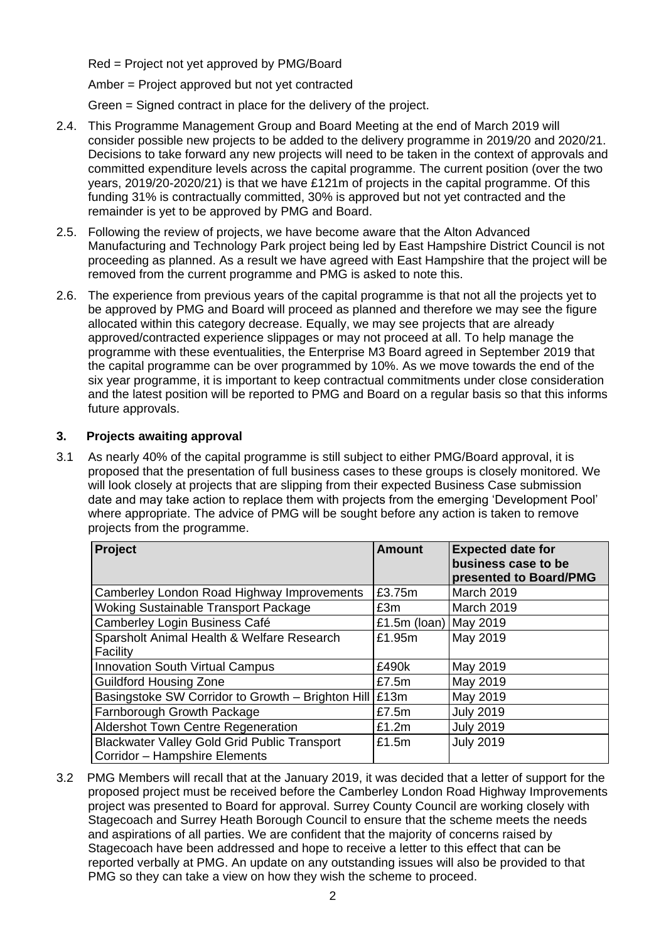Red = Project not yet approved by PMG/Board

Amber = Project approved but not yet contracted

Green = Signed contract in place for the delivery of the project.

- 2.4. This Programme Management Group and Board Meeting at the end of March 2019 will consider possible new projects to be added to the delivery programme in 2019/20 and 2020/21. Decisions to take forward any new projects will need to be taken in the context of approvals and committed expenditure levels across the capital programme. The current position (over the two years, 2019/20-2020/21) is that we have £121m of projects in the capital programme. Of this funding 31% is contractually committed, 30% is approved but not yet contracted and the remainder is yet to be approved by PMG and Board.
- 2.5. Following the review of projects, we have become aware that the Alton Advanced Manufacturing and Technology Park project being led by East Hampshire District Council is not proceeding as planned. As a result we have agreed with East Hampshire that the project will be removed from the current programme and PMG is asked to note this.
- 2.6. The experience from previous years of the capital programme is that not all the projects yet to be approved by PMG and Board will proceed as planned and therefore we may see the figure allocated within this category decrease. Equally, we may see projects that are already approved/contracted experience slippages or may not proceed at all. To help manage the programme with these eventualities, the Enterprise M3 Board agreed in September 2019 that the capital programme can be over programmed by 10%. As we move towards the end of the six year programme, it is important to keep contractual commitments under close consideration and the latest position will be reported to PMG and Board on a regular basis so that this informs future approvals.

#### **3. Projects awaiting approval**

3.1 As nearly 40% of the capital programme is still subject to either PMG/Board approval, it is proposed that the presentation of full business cases to these groups is closely monitored. We will look closely at projects that are slipping from their expected Business Case submission date and may take action to replace them with projects from the emerging 'Development Pool' where appropriate. The advice of PMG will be sought before any action is taken to remove projects from the programme.

| Project                                             | <b>Amount</b>   | <b>Expected date for</b><br>business case to be<br>presented to Board/PMG |
|-----------------------------------------------------|-----------------|---------------------------------------------------------------------------|
| Camberley London Road Highway Improvements          | £3.75m          | <b>March 2019</b>                                                         |
| <b>Woking Sustainable Transport Package</b>         | £3m             | <b>March 2019</b>                                                         |
| Camberley Login Business Café                       | £1.5 $m$ (loan) | May 2019                                                                  |
| Sparsholt Animal Health & Welfare Research          | £1.95m          | May 2019                                                                  |
| Facility                                            |                 |                                                                           |
| <b>Innovation South Virtual Campus</b>              | £490k           | May 2019                                                                  |
| <b>Guildford Housing Zone</b>                       | £7.5 $m$        | May 2019                                                                  |
| Basingstoke SW Corridor to Growth - Brighton Hill   | E13m            | May 2019                                                                  |
| Farnborough Growth Package                          | £7.5m           | <b>July 2019</b>                                                          |
| <b>Aldershot Town Centre Regeneration</b>           | £1.2m           | <b>July 2019</b>                                                          |
| <b>Blackwater Valley Gold Grid Public Transport</b> | £1.5m           | <b>July 2019</b>                                                          |
| Corridor - Hampshire Elements                       |                 |                                                                           |

3.2 PMG Members will recall that at the January 2019, it was decided that a letter of support for the proposed project must be received before the Camberley London Road Highway Improvements project was presented to Board for approval. Surrey County Council are working closely with Stagecoach and Surrey Heath Borough Council to ensure that the scheme meets the needs and aspirations of all parties. We are confident that the majority of concerns raised by Stagecoach have been addressed and hope to receive a letter to this effect that can be reported verbally at PMG. An update on any outstanding issues will also be provided to that PMG so they can take a view on how they wish the scheme to proceed.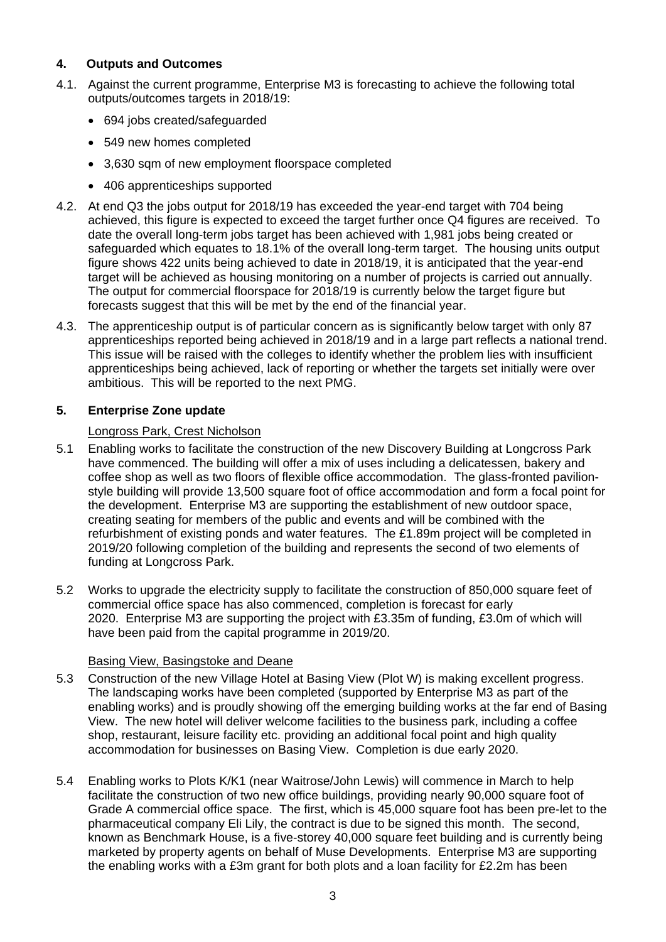#### **4. Outputs and Outcomes**

- 4.1. Against the current programme, Enterprise M3 is forecasting to achieve the following total outputs/outcomes targets in 2018/19:
	- 694 jobs created/safeguarded
	- 549 new homes completed
	- 3,630 sqm of new employment floorspace completed
	- 406 apprenticeships supported
- 4.2. At end Q3 the jobs output for 2018/19 has exceeded the year-end target with 704 being achieved, this figure is expected to exceed the target further once Q4 figures are received. To date the overall long-term jobs target has been achieved with 1,981 jobs being created or safeguarded which equates to 18.1% of the overall long-term target. The housing units output figure shows 422 units being achieved to date in 2018/19, it is anticipated that the year-end target will be achieved as housing monitoring on a number of projects is carried out annually. The output for commercial floorspace for 2018/19 is currently below the target figure but forecasts suggest that this will be met by the end of the financial year.
- 4.3. The apprenticeship output is of particular concern as is significantly below target with only 87 apprenticeships reported being achieved in 2018/19 and in a large part reflects a national trend. This issue will be raised with the colleges to identify whether the problem lies with insufficient apprenticeships being achieved, lack of reporting or whether the targets set initially were over ambitious. This will be reported to the next PMG.

#### **5. Enterprise Zone update**

#### Longross Park, Crest Nicholson

- 5.1 Enabling works to facilitate the construction of the new Discovery Building at Longcross Park have commenced. The building will offer a mix of uses including a delicatessen, bakery and coffee shop as well as two floors of flexible office accommodation. The glass-fronted pavilionstyle building will provide 13,500 square foot of office accommodation and form a focal point for the development. Enterprise M3 are supporting the establishment of new outdoor space, creating seating for members of the public and events and will be combined with the refurbishment of existing ponds and water features. The £1.89m project will be completed in 2019/20 following completion of the building and represents the second of two elements of funding at Longcross Park.
- 5.2 Works to upgrade the electricity supply to facilitate the construction of 850,000 square feet of commercial office space has also commenced, completion is forecast for early 2020. Enterprise M3 are supporting the project with £3.35m of funding, £3.0m of which will have been paid from the capital programme in 2019/20.

#### Basing View, Basingstoke and Deane

- 5.3 Construction of the new Village Hotel at Basing View (Plot W) is making excellent progress. The landscaping works have been completed (supported by Enterprise M3 as part of the enabling works) and is proudly showing off the emerging building works at the far end of Basing View. The new hotel will deliver welcome facilities to the business park, including a coffee shop, restaurant, leisure facility etc. providing an additional focal point and high quality accommodation for businesses on Basing View. Completion is due early 2020.
- 5.4 Enabling works to Plots K/K1 (near Waitrose/John Lewis) will commence in March to help facilitate the construction of two new office buildings, providing nearly 90,000 square foot of Grade A commercial office space. The first, which is 45,000 square foot has been pre-let to the pharmaceutical company Eli Lily, the contract is due to be signed this month. The second, known as Benchmark House, is a five-storey 40,000 square feet building and is currently being marketed by property agents on behalf of Muse Developments. Enterprise M3 are supporting the enabling works with a £3m grant for both plots and a loan facility for £2.2m has been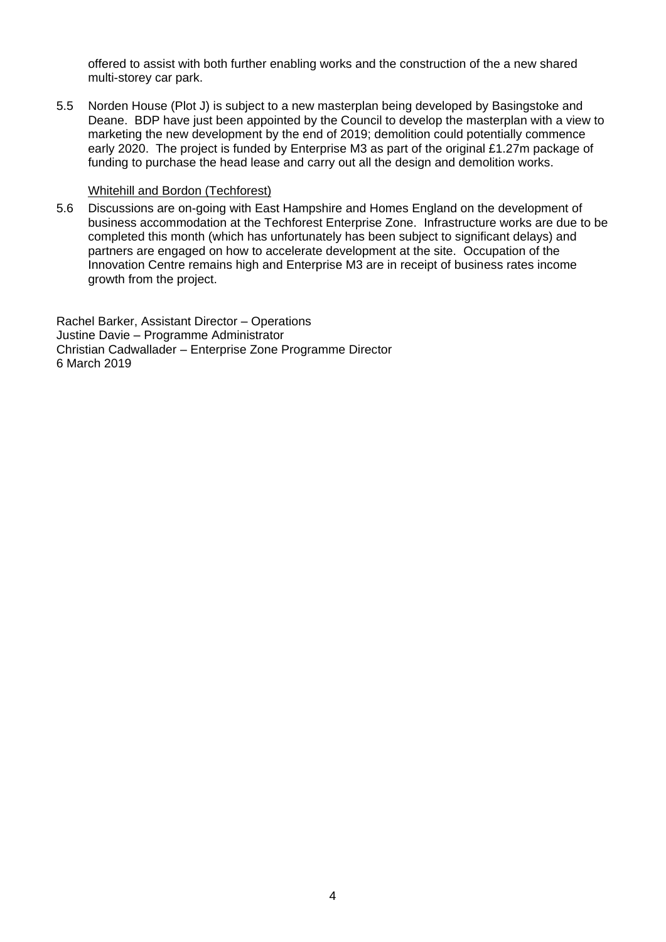offered to assist with both further enabling works and the construction of the a new shared multi-storey car park.

5.5 Norden House (Plot J) is subject to a new masterplan being developed by Basingstoke and Deane. BDP have just been appointed by the Council to develop the masterplan with a view to marketing the new development by the end of 2019; demolition could potentially commence early 2020. The project is funded by Enterprise M3 as part of the original £1.27m package of funding to purchase the head lease and carry out all the design and demolition works.

#### Whitehill and Bordon (Techforest)

5.6 Discussions are on-going with East Hampshire and Homes England on the development of business accommodation at the Techforest Enterprise Zone. Infrastructure works are due to be completed this month (which has unfortunately has been subject to significant delays) and partners are engaged on how to accelerate development at the site. Occupation of the Innovation Centre remains high and Enterprise M3 are in receipt of business rates income growth from the project.

Rachel Barker, Assistant Director – Operations Justine Davie – Programme Administrator Christian Cadwallader – Enterprise Zone Programme Director 6 March 2019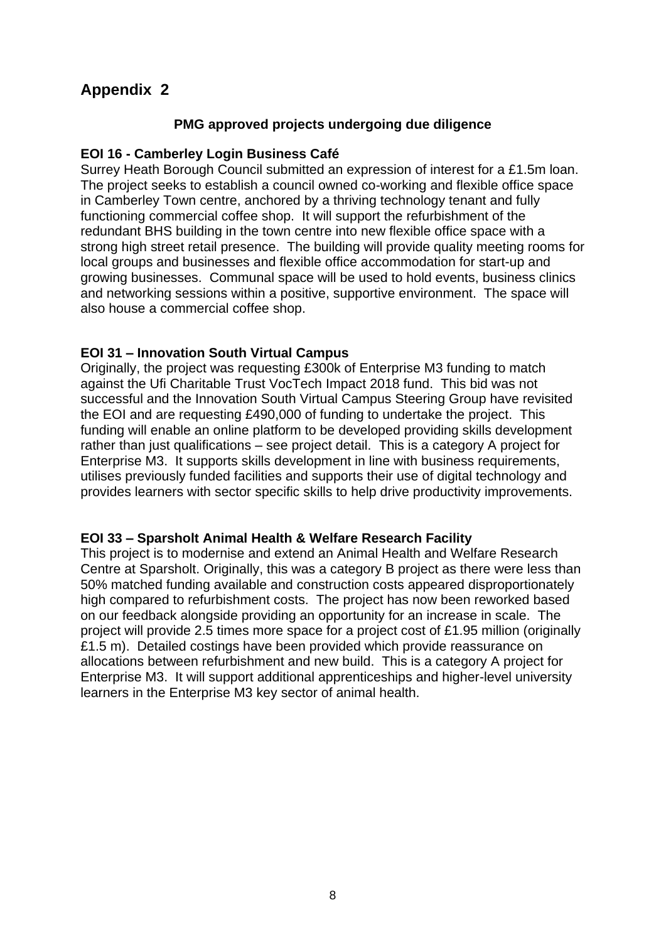## **Appendix 2**

#### **PMG approved projects undergoing due diligence**

#### **EOI 16 - Camberley Login Business Café**

Surrey Heath Borough Council submitted an expression of interest for a £1.5m loan. The project seeks to establish a council owned co-working and flexible office space in Camberley Town centre, anchored by a thriving technology tenant and fully functioning commercial coffee shop. It will support the refurbishment of the redundant BHS building in the town centre into new flexible office space with a strong high street retail presence. The building will provide quality meeting rooms for local groups and businesses and flexible office accommodation for start-up and growing businesses. Communal space will be used to hold events, business clinics and networking sessions within a positive, supportive environment. The space will also house a commercial coffee shop.

#### **EOI 31 – Innovation South Virtual Campus**

Originally, the project was requesting £300k of Enterprise M3 funding to match against the Ufi Charitable Trust VocTech Impact 2018 fund. This bid was not successful and the Innovation South Virtual Campus Steering Group have revisited the EOI and are requesting £490,000 of funding to undertake the project. This funding will enable an online platform to be developed providing skills development rather than just qualifications – see project detail. This is a category A project for Enterprise M3. It supports skills development in line with business requirements, utilises previously funded facilities and supports their use of digital technology and provides learners with sector specific skills to help drive productivity improvements.

#### **EOI 33 – Sparsholt Animal Health & Welfare Research Facility**

This project is to modernise and extend an Animal Health and Welfare Research Centre at Sparsholt. Originally, this was a category B project as there were less than 50% matched funding available and construction costs appeared disproportionately high compared to refurbishment costs. The project has now been reworked based on our feedback alongside providing an opportunity for an increase in scale. The project will provide 2.5 times more space for a project cost of £1.95 million (originally £1.5 m). Detailed costings have been provided which provide reassurance on allocations between refurbishment and new build. This is a category A project for Enterprise M3. It will support additional apprenticeships and higher-level university learners in the Enterprise M3 key sector of animal health.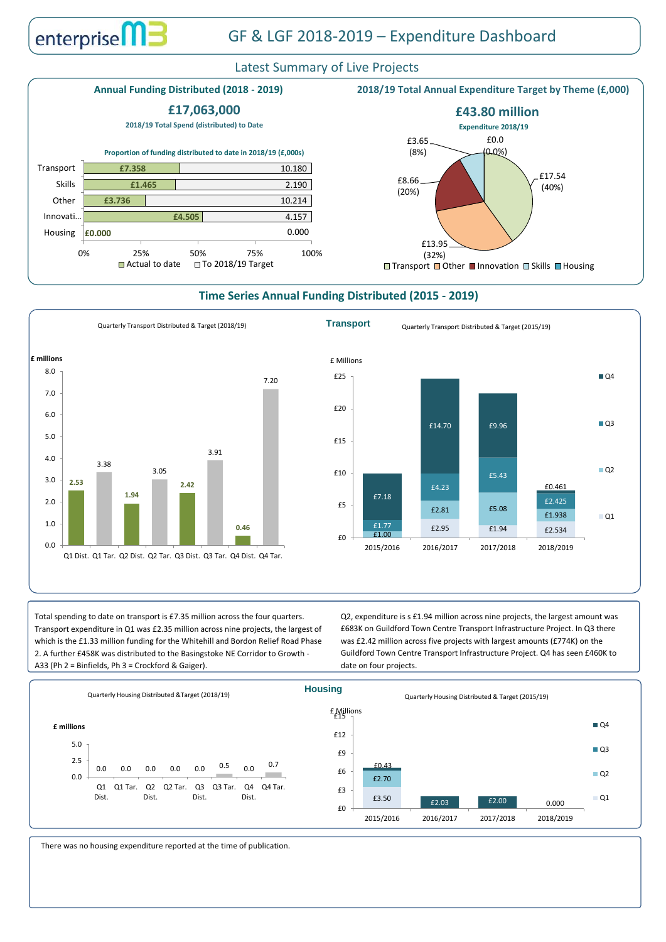# Latest Summary of Live Projects

## **Time Series Annual Funding Distributed (2015 - 2019)**







Total spending to date on transport is £7.35 million across the four quarters. Transport expenditure in Q1 was £2.35 million across nine projects, the largest of which is the £1.33 million funding for the Whitehill and Bordon Relief Road Phase 2. A further £458K was distributed to the Basingstoke NE Corridor to Growth - A33 (Ph 2 = Binfields, Ph 3 = Crockford & Gaiger).

Q2, expenditure is s £1.94 million across nine projects, the largest amount was £683K on Guildford Town Centre Transport Infrastructure Project. In Q3 there was £2.42 million across five projects with largest amounts (£774K) on the Guildford Town Centre Transport Infrastructure Project. Q4 has seen £460K to date on four projects.

There was no housing expenditure reported at the time of publication.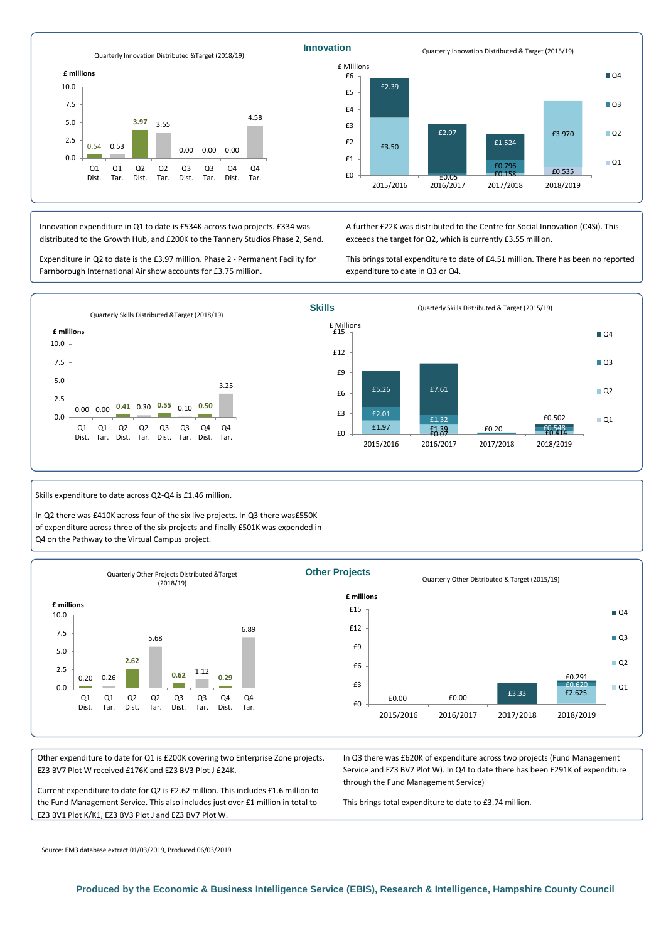Source: EM3 database extract 01/03/2019, Produced 06/03/2019

**Produced by the Economic & Business Intelligence Service (EBIS), Research & Intelligence, Hampshire County Council**

Other expenditure to date for Q1 is £200K covering two Enterprise Zone projects. EZ3 BV7 Plot W received £176K and EZ3 BV3 Plot J £24K.

Current expenditure to date for Q2 is £2.62 million. This includes £1.6 million to the Fund Management Service. This also includes just over £1 million in total to EZ3 BV1 Plot K/K1, EZ3 BV3 Plot J and EZ3 BV7 Plot W.





Skills expenditure to date across Q2-Q4 is £1.46 million.

In Q2 there was £410K across four of the six live projects. In Q3 there was£550K of expenditure across three of the six projects and finally £501K was expended in Q4 on the Pathway to the Virtual Campus project.



In Q3 there was £620K of expenditure across two projects (Fund Management Service and EZ3 BV7 Plot W). In Q4 to date there has been £291K of expenditure through the Fund Management Service)



This brings total expenditure to date to £3.74 million.

Innovation expenditure in Q1 to date is £534K across two projects. £334 was distributed to the Growth Hub, and £200K to the Tannery Studios Phase 2, Send.

Expenditure in Q2 to date is the £3.97 million. Phase 2 - Permanent Facility for Farnborough International Air show accounts for £3.75 million.

A further £22K was distributed to the Centre for Social Innovation (C4Si). This exceeds the target for Q2, which is currently £3.55 million.

This brings total expenditure to date of £4.51 million. There has been no reported expenditure to date in Q3 or Q4.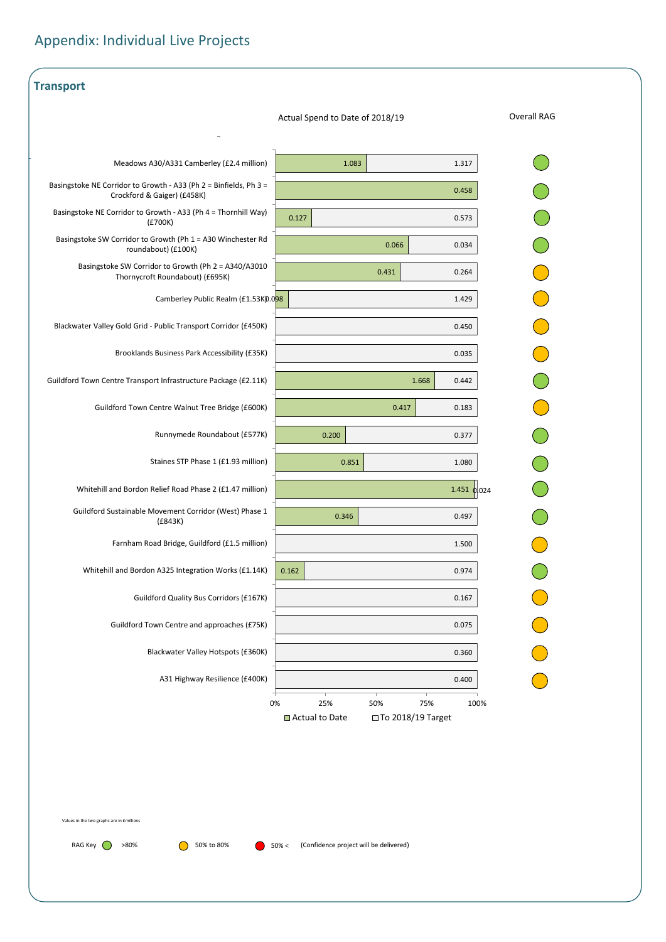| <b>Transport</b>                                                                                 |                                                       |
|--------------------------------------------------------------------------------------------------|-------------------------------------------------------|
|                                                                                                  | <b>Overall RAG</b><br>Actual Spend to Date of 2018/19 |
|                                                                                                  |                                                       |
| Meadows A30/A331 Camberley (£2.4 million)                                                        | 1.083<br>1.317                                        |
| Basingstoke NE Corridor to Growth - A33 (Ph 2 = Binfields, Ph 3 =<br>Crockford & Gaiger) (£458K) | 0.458                                                 |
| Basingstoke NE Corridor to Growth - A33 (Ph 4 = Thornhill Way)<br>(E700K)                        | 0.127<br>0.573                                        |
| Basingstoke SW Corridor to Growth (Ph 1 = A30 Winchester Rd<br>roundabout) (£100K)               | 0.066<br>0.034                                        |
| Basingstoke SW Corridor to Growth (Ph 2 = A340/A3010<br>Thornycroft Roundabout) (£695K)          | 0.431<br>0.264                                        |
| Camberley Public Realm (£1.53K).098                                                              | 1.429                                                 |
| Blackwater Valley Gold Grid - Public Transport Corridor (£450K)                                  | 0.450                                                 |
| Brooklands Business Park Accessibility (£35K)                                                    | 0.035                                                 |
| Guildford Town Centre Transport Infrastructure Package (£2.11K)                                  | 1.668<br>0.442                                        |
| Guildford Town Centre Walnut Tree Bridge (£600K)                                                 | 0.417<br>0.183                                        |
| Runnymede Roundabout (£577K)                                                                     | 0.200<br>0.377                                        |
| Staines STP Phase 1 (£1.93 million)                                                              | 0.851<br>1.080                                        |
| Whitehill and Bordon Relief Road Phase 2 (£1.47 million)                                         | $1.451$ 0.024                                         |
| Guildford Sustainable Movement Corridor (West) Phase 1<br>(E843K)                                | 0.346<br>0.497                                        |
| Farnham Road Bridge, Guildford (£1.5 million)                                                    | 1.500                                                 |
| Whitehill and Bordon A325 Integration Works (£1.14K)                                             | 0.162<br>0.974                                        |
| <b>Guildford Quality Bus Corridors (£167K)</b>                                                   | 0.167                                                 |
| Guildford Town Centre and approaches (£75K)                                                      | 0.075                                                 |
| Blackwater Valley Hotspots (£360K)                                                               | 0.360                                                 |
| A31 Highway Resilience (£400K)                                                                   | 0.400                                                 |
|                                                                                                  | $0\%$<br>25%<br>50%<br>75%<br>100%                    |

# Appendix: Individual Live Projects

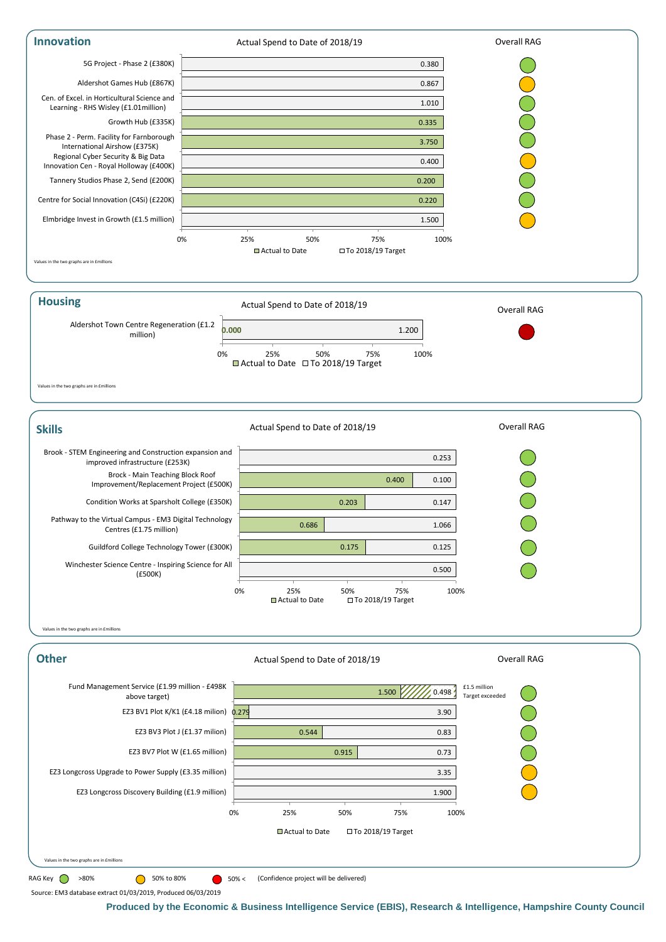**Produced by the Economic & Business Intelligence Service (EBIS), Research & Intelligence, Hampshire County Council**





Source: EM3 database extract 01/03/2019, Produced 06/03/2019